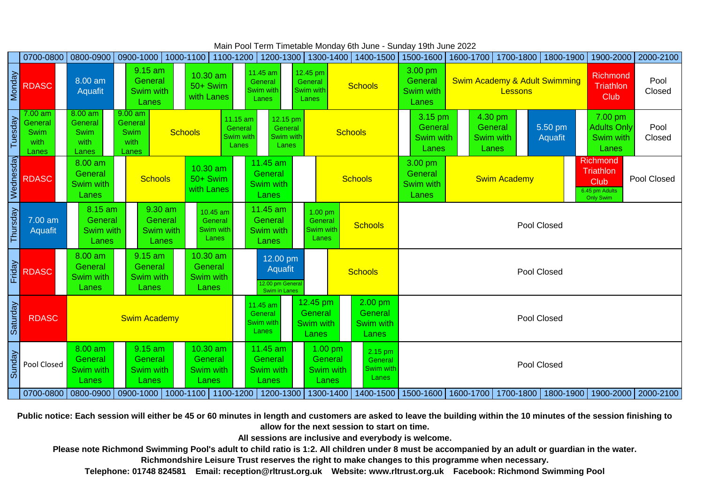**Public notice: Each session will either be 45 or 60 minutes in length and customers are asked to leave the building within the 10 minutes of the session finishing to allow for the next session to start on time.**

**Telephone: 01748 824581 Email: reception@rltrust.org.uk Website: www.rltrust.org.uk Facebook: Richmond Swimming Pool Please note Richmond Swimming Pool's adult to child ratio is 1:2. All children under 8 must be accompanied by an adult or guardian in the water. Richmondshire Leisure Trust reserves the right to make changes to this programme when necessary.**

**All sessions are inclusive and everybody is welcome.**

|              | 0700-0800                                            | 0800-0900                                            | 0900-1000   1000-1100                                                            |                                                  | 1100-1200   1200-1300   1300-1400                                                                    |                                                           | 1400-1500                                         | 1500-1600                                       | 1600-1700           |                           | 1700-1800   1800-1900                                                 |                                                                                                         | 1900-2000   2000-2100 |  |  |  |
|--------------|------------------------------------------------------|------------------------------------------------------|----------------------------------------------------------------------------------|--------------------------------------------------|------------------------------------------------------------------------------------------------------|-----------------------------------------------------------|---------------------------------------------------|-------------------------------------------------|---------------------|---------------------------|-----------------------------------------------------------------------|---------------------------------------------------------------------------------------------------------|-----------------------|--|--|--|
| Monday       | <b>RDASC</b>                                         | 8.00 am<br><b>Aquafit</b>                            | 9.15 am<br>$10.30$ am<br>General<br>50+ Swim<br>Swim with<br>with Lanes<br>Lanes |                                                  | 11.45 am<br>General<br><b>Swim with</b><br>Lanes                                                     | 12.45 pm<br>General<br><b>Swim with</b><br>Lanes          | <b>Schools</b>                                    | 3.00 pm<br>General<br>Swim with<br>Lanes        |                     |                           | <b>Swim Academy &amp; Adult Swimming</b>                              | <b>Richmond</b><br><b>Triathlon</b><br>Club                                                             | Pool<br>Closed        |  |  |  |
| Tuesday      | $7.00$ am<br>General<br><b>Swim</b><br>with<br>Lanes | $8.00$ am<br>General<br><b>Swim</b><br>with<br>Lanes | $9.00$ am<br>General<br><b>Swim</b><br>with<br>Lanes                             | Schools                                          | 11.15 am<br>12.15 pm<br>General<br>General<br><b>Swim with</b><br><b>Swim with</b><br>Lanes<br>Lanes |                                                           | <b>Schools</b>                                    | 3.15 pm<br><b>General</b><br>Swim with<br>Lanes | Swim with<br>Lanes  | 4.30 pm<br><b>General</b> | 5.50 pm<br>Aquafit                                                    | 7.00 pm<br><b>Adults Only</b><br>Swim with<br>Lanes                                                     | Pool<br>Closed        |  |  |  |
| Wednesday    | <b>RDASC</b>                                         | 8.00 am<br>General<br>Swim with<br>Lanes             | <b>Schools</b>                                                                   | $10.30$ am<br>50+ Swim<br>with Lanes             | 11.45 am<br>General<br>Swim with<br>Lanes                                                            |                                                           | Schools                                           | 3.00 pm<br><b>General</b><br>Swim with<br>Lanes | <b>Swim Academy</b> |                           |                                                                       | <b>Richmond</b><br><b>Triathlon</b><br>Pool Closed<br><b>Club</b><br>6.45 pm Adults<br><b>Only Swim</b> |                       |  |  |  |
| Thursday     | 7.00 am<br>Aquafit                                   | 8.15 am<br>General<br><b>Swim with</b><br>Lanes      | 9.30 am<br>General<br><b>Swim with</b><br>Lanes                                  | 10.45 am<br>General<br><b>Swim with</b><br>Lanes | 11.45 am<br>General<br>Swim with<br>Lanes                                                            | $1.00$ pm<br>General<br><b>Swim with</b><br>Lanes         | <b>Schools</b>                                    |                                                 | Pool Closed         |                           |                                                                       |                                                                                                         |                       |  |  |  |
| Friday       | <b>RDASC</b>                                         | 8.00 am<br>General<br>Swim with<br>Lanes             | 9.15 am<br>General<br>Swim with<br>Lanes                                         | 10.30 am<br>General<br>Swim with<br>Lanes        | 12.00 pm<br>Aquafit<br>12.00 pm General<br>Swim in Lanes                                             |                                                           | <b>Schools</b>                                    |                                                 | Pool Closed         |                           |                                                                       |                                                                                                         |                       |  |  |  |
| Vep<br>Satur | <b>RDASC</b>                                         |                                                      | <b>Swim Academy</b>                                                              |                                                  | 11.45 am<br>General<br>Swim with<br>Lanes                                                            | 12.45 pm<br><b>General</b><br>Swim with<br>Lanes          | $2.00$ pm<br>General<br><b>Swim with</b><br>Lanes |                                                 | Pool Closed         |                           |                                                                       |                                                                                                         |                       |  |  |  |
| Sunday       | Pool Closed                                          | $8.00$ am<br>General<br>Swim with<br><b>Lanes</b>    | $9.15$ am<br>General<br>Swim with<br>Lanes                                       | 10.30 am<br>General<br>Swim with<br>Lanes        | $11.45$ am<br><b>General</b><br>Swim with<br><b>Lanes</b>                                            | $1.00 \text{ pm}$<br>General<br><b>Swim with</b><br>Lanes | $2.15$ pm<br>General<br><b>Swim with</b><br>Lanes | Pool Closed                                     |                     |                           |                                                                       |                                                                                                         |                       |  |  |  |
|              | 0700-0800                                            |                                                      | 0800-0900   0900-1000   1000-1100                                                |                                                  | 1100-1200   1200-1300                                                                                | 1300-1400                                                 | 1400-1500                                         |                                                 |                     |                           | 1500-1600   1600-1700   1700-1800   1800-1900   1900-2000   2000-2100 |                                                                                                         |                       |  |  |  |

Main Pool Term Timetable Monday 6th June - Sunday 19th June 2022